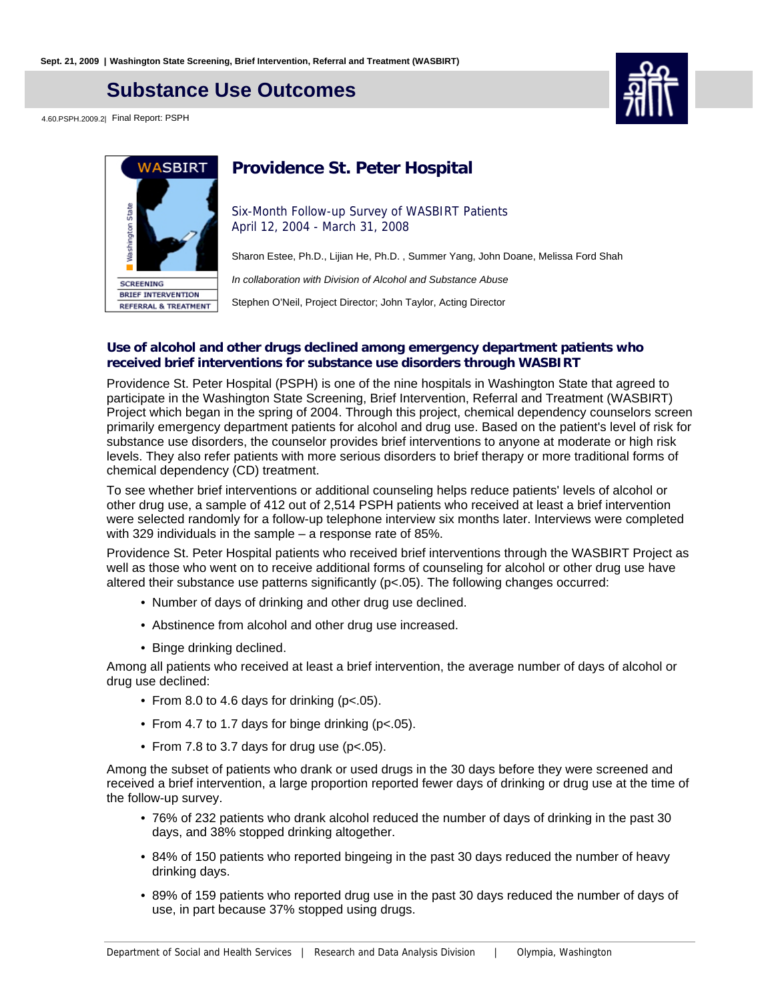## **Substance Use Outcomes**

4.60.PSPH.2009.2| Final Report: PSPH



# WASBIRT **Nashington State SCREENING BRIEF INTERVENTION REFERRAL & TREATMENT**

## **Providence St. Peter Hospital**

Six-Month Follow-up Survey of WASBIRT Patients April 12, 2004 - March 31, 2008

Sharon Estee, Ph.D., Lijian He, Ph.D. , Summer Yang, John Doane, Melissa Ford Shah

In collaboration with Division of Alcohol and Substance Abuse

Stephen O'Neil, Project Director; John Taylor, Acting Director

#### **Use of alcohol and other drugs declined among emergency department patients who received brief interventions for substance use disorders through WASBIRT**

Providence St. Peter Hospital (PSPH) is one of the nine hospitals in Washington State that agreed to participate in the Washington State Screening, Brief Intervention, Referral and Treatment (WASBIRT) Project which began in the spring of 2004. Through this project, chemical dependency counselors screen primarily emergency department patients for alcohol and drug use. Based on the patient's level of risk for substance use disorders, the counselor provides brief interventions to anyone at moderate or high risk levels. They also refer patients with more serious disorders to brief therapy or more traditional forms of chemical dependency (CD) treatment.

To see whether brief interventions or additional counseling helps reduce patients' levels of alcohol or other drug use, a sample of 412 out of 2,514 PSPH patients who received at least a brief intervention were selected randomly for a follow-up telephone interview six months later. Interviews were completed with 329 individuals in the sample – a response rate of 85%.

Providence St. Peter Hospital patients who received brief interventions through the WASBIRT Project as well as those who went on to receive additional forms of counseling for alcohol or other drug use have altered their substance use patterns significantly (p<.05). The following changes occurred:

- Number of days of drinking and other drug use declined.
- Abstinence from alcohol and other drug use increased.
- Binge drinking declined.

Among all patients who received at least a brief intervention, the average number of days of alcohol or drug use declined:

- From 8.0 to 4.6 days for drinking (p<.05).
- From 4.7 to 1.7 days for binge drinking (p<.05).
- From 7.8 to 3.7 days for drug use (p<.05).

Among the subset of patients who drank or used drugs in the 30 days before they were screened and received a brief intervention, a large proportion reported fewer days of drinking or drug use at the time of the follow-up survey.

- 76% of 232 patients who drank alcohol reduced the number of days of drinking in the past 30 days, and 38% stopped drinking altogether.
- 84% of 150 patients who reported bingeing in the past 30 days reduced the number of heavy drinking days.
- 89% of 159 patients who reported drug use in the past 30 days reduced the number of days of use, in part because 37% stopped using drugs.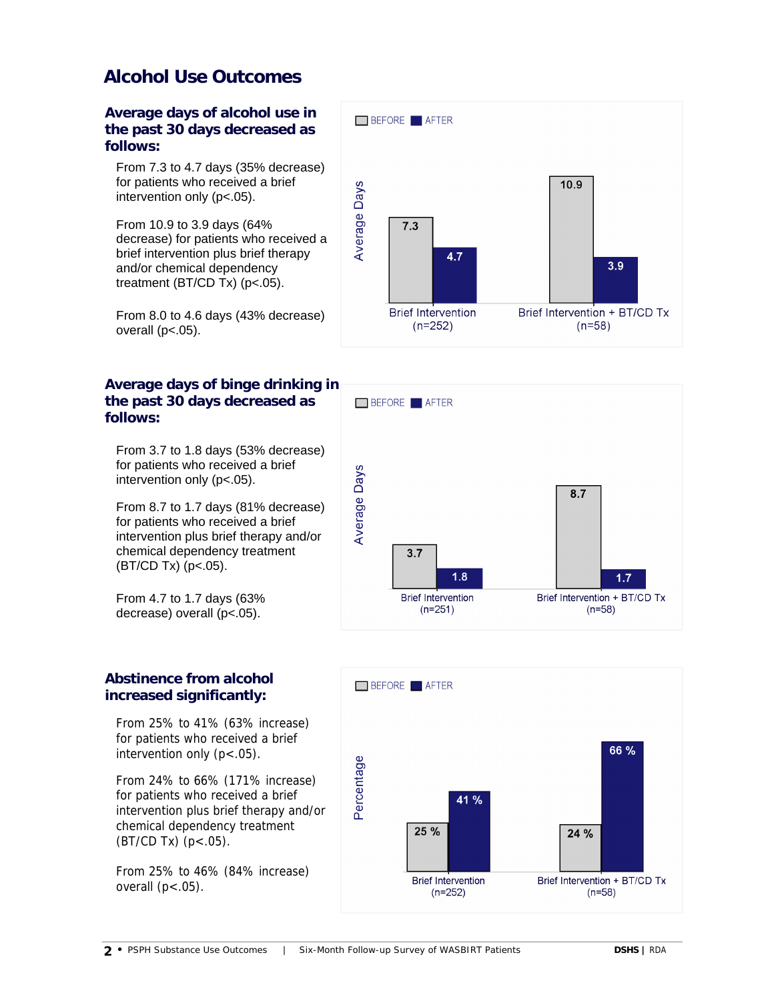## **Alcohol Use Outcomes**

**Average days of alcohol use in the past 30 days decreased as follows:**

From 7.3 to 4.7 days (35% decrease) for patients who received a brief intervention only (p<.05).

From 10.9 to 3.9 days (64% decrease) for patients who received a brief intervention plus brief therapy and/or chemical dependency treatment (BT/CD Tx) (p<.05).

From 8.0 to 4.6 days (43% decrease) overall  $(p<.05)$ .

### **Average days of binge drinking in the past 30 days decreased as follows:**

From 3.7 to 1.8 days (53% decrease) for patients who received a brief intervention only (p<.05).

From 8.7 to 1.7 days (81% decrease) for patients who received a brief intervention plus brief therapy and/or chemical dependency treatment (BT/CD Tx) (p<.05).

From 4.7 to 1.7 days (63% decrease) overall (p<.05).

### **Abstinence from alcohol increased significantly:**

From 25% to 41% (63% increase) for patients who received a brief intervention only  $(p < .05)$ .

From 24% to 66% (171% increase) for patients who received a brief intervention plus brief therapy and/or chemical dependency treatment  $(BT/CD Tx)$   $(p < .05)$ .

From 25% to 46% (84% increase) overall  $(p<.05)$ .





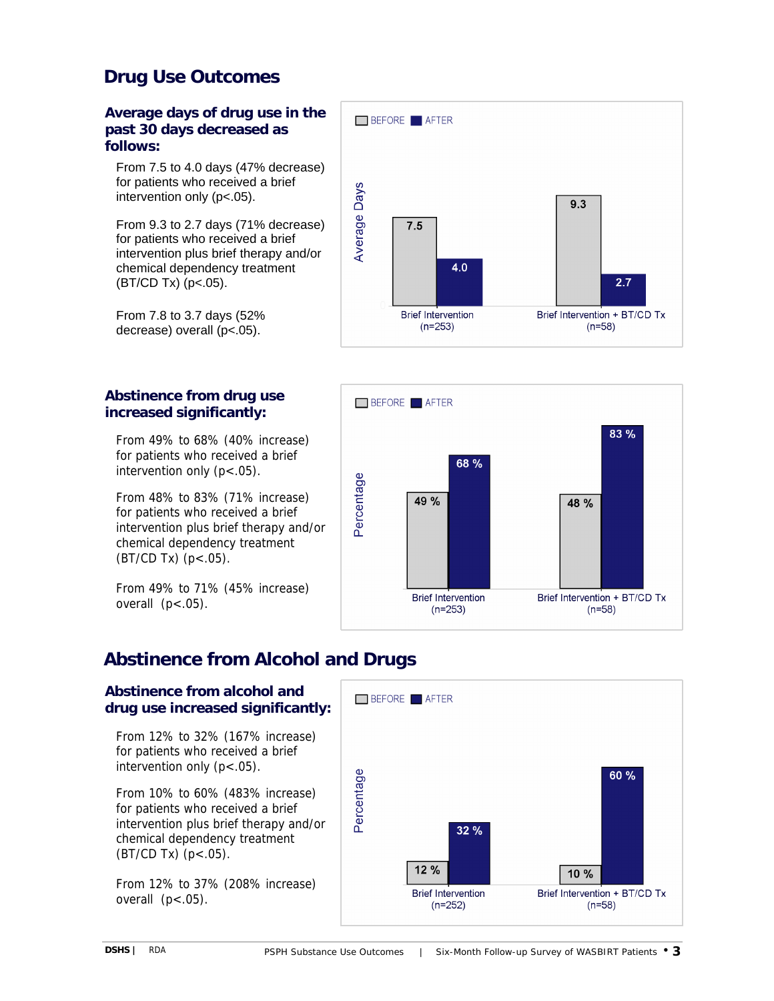## **Drug Use Outcomes**

**Average days of drug use in the past 30 days decreased as follows:**

From 7.5 to 4.0 days (47% decrease) for patients who received a brief intervention only (p<.05).

From 9.3 to 2.7 days (71% decrease) for patients who received a brief intervention plus brief therapy and/or chemical dependency treatment  $(BT/CD Tx)$  (p<.05).

From 7.8 to 3.7 days (52% decrease) overall (p<.05).

### **Abstinence from drug use increased significantly:**

From 49% to 68% (40% increase) for patients who received a brief intervention only (p<.05).

From 48% to 83% (71% increase) for patients who received a brief intervention plus brief therapy and/or chemical dependency treatment  $(BT/CD Tx)$   $(p < .05)$ .

From 49% to 71% (45% increase) overall  $(p<.05)$ .





## **Abstinence from Alcohol and Drugs**

### **Abstinence from alcohol and drug use increased significantly:**

From 12% to 32% (167% increase) for patients who received a brief intervention only  $(p < .05)$ .

From 10% to 60% (483% increase) for patients who received a brief intervention plus brief therapy and/or chemical dependency treatment (BT/CD Tx) (p<.05).

From 12% to 37% (208% increase) overall  $(p<.05)$ .